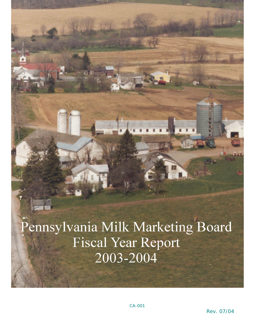Pennsylvania Milk Marketing Board **Fiscal Year Report** 2003-2004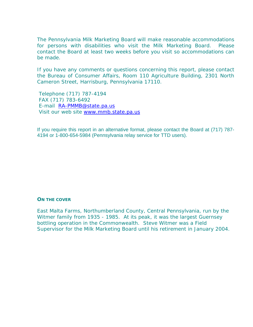The Pennsylvania Milk Marketing Board will make reasonable accommodations for persons with disabilities who visit the Milk Marketing Board. Please contact the Board at least two weeks before you visit so accommodations can be made.

If you have any comments or questions concerning this report, please contact the Bureau of Consumer Affairs, Room 110 Agriculture Building, 2301 North Cameron Street, Harrisburg, Pennsylvania 17110.

 Telephone (717) 787-4194 FAX (717) 783-6492 E-mail [RA-PMMB@state.pa.us](mailto:RA-PMMB@state.pa.us) Visit our web site [www.mmb.state.pa.us](http://www.mmb.state.pa.us/)

If you require this report in an alternative format, please contact the Board at (717) 787- 4194 or 1-800-654-5984 (Pennsylvania relay service for TTD users).

## **ON THE COVER**

East Malta Farms, Northumberland County, Central Pennsylvania, run by the Witmer family from 1935 - 1985. At its peak, it was the largest Guernsey bottling operation in the Commonwealth. Steve Witmer was a Field Supervisor for the Milk Marketing Board until his retirement in January 2004.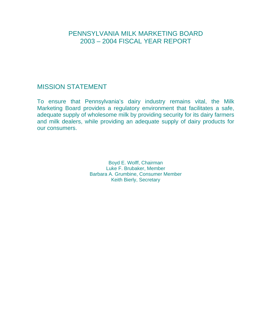# PENNSYLVANIA MILK MARKETING BOARD 2003 – 2004 FISCAL YEAR REPORT

# MISSION STATEMENT

To ensure that Pennsylvania's dairy industry remains vital, the Milk Marketing Board provides a regulatory environment that facilitates a safe, adequate supply of wholesome milk by providing security for its dairy farmers and milk dealers, while providing an adequate supply of dairy products for our consumers.

> Boyd E. Wolff, Chairman Luke F. Brubaker, Member Barbara A. Grumbine, Consumer Member Keith Bierly, Secretary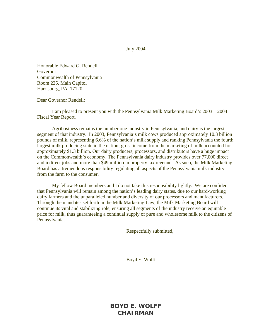July 2004

Honorable Edward G. Rendell Governor Commonwealth of Pennsylvania Room 225, Main Capitol Harrisburg, PA 17120

Dear Governor Rendell:

 I am pleased to present you with the Pennsylvania Milk Marketing Board's 2003 – 2004 Fiscal Year Report.

 Agribusiness remains the number one industry in Pennsylvania, and dairy is the largest segment of that industry. In 2003, Pennsylvania's milk cows produced approximately 10.3 billion pounds of milk, representing 6.6% of the nation's milk supply and ranking Pennsylvania the fourth largest milk producing state in the nation; gross income from the marketing of milk accounted for approximately \$1.3 billion. Our dairy producers, processors, and distributors have a huge impact on the Commonwealth's economy. The Pennsylvania dairy industry provides over 77,000 direct and indirect jobs and more than \$49 million in property tax revenue. As such, the Milk Marketing Board has a tremendous responsibility regulating all aspects of the Pennsylvania milk industry from the farm to the consumer.

 My fellow Board members and I do not take this responsibility lightly. We are confident that Pennsylvania will remain among the nation's leading dairy states, due to our hard-working dairy farmers and the unparalleled number and diversity of our processors and manufacturers. Through the mandates set forth in the Milk Marketing Law, the Milk Marketing Board will continue its vital and stabilizing role, ensuring all segments of the industry receive an equitable price for milk, thus guaranteeing a continual supply of pure and wholesome milk to the citizens of Pennsylvania.

Respectfully submitted,

Boyd E. Wolff

**BOYD E. WOLFF CHAIRMAN**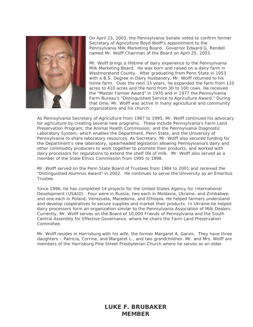

On April 23, 2003, the Pennsylvania Senate voted to confirm former Secretary of Agriculture Boyd Wolff's appointment to the Pennsylvania Milk Marketing Board. Governor Edward G. Rendell named Mr. Wolff Chairman of the Board on April 25, 2003.

Mr. Wolff brings a lifetime of dairy experience to the Pennsylvania Milk Marketing Board. He was born and raised on a dairy farm in Westmoreland County. After graduating from Penn State in 1953 with a B.S. Degree in Dairy Husbandry, Mr. Wolff returned to his home farm. Over the next 33 years, he expanded the farm from 1 10 acres to 410 acres and the herd from 30 to 100 cows. He receiv ed the "Master Farmer Award" in 1970 and in 1977 the Pennsylva nia Farm Bureau's "Distinguished Service to Agriculture Award." During that time, Mr. Wolff was active in many agricultural and community organizations and his church.

As Pennsylvania Secretary of Agriculture from 1987 to 1995, Mr. Wolff continued his advocacy for agriculture by creating several new programs. These include Pennsylvania's Farm Land Preservation Program; the Animal Health Commission; and the Pennsylvania Diagnostic Laboratory System, which enables the Department, Penn State, and the University of Pennsylvania to share laboratory resources. As Secretary, Mr. Wolff also secured funding for the Department's new laboratory, spearheaded legislation allowing Pennsylvania's dairy and other commodity producers to work together to promote their products, and worked with dairy processors for regulations to extend the shelf life of milk. Mr. Wolff also served as a member of the State Ethics Commission from 1995 to 1998.

Mr. Wolff served on the Penn State Board of Trustees from 1984 to 2001 and received the "Distinguished Alumnus Award" in 2002. He continues to serve the University as an Emeritus Trustee.

Since 1996, he has completed 14 projects for the United States Agency for International Development (USAID). Four were in Russia; two each in Moldavia, Ukraine, and Zimbabwe; and one each in Poland, Venezuela, Macedonia, and Ethiopia. He helped farmers understand and develop cooperatives to secure supplies and market their products. In Ukraine he helped dairy processors form an organization similar to the Pennsylvania Association of Milk Dealers. Currently, Mr. Wolff serves on the Board of 10,000 Friends of Pennsylvania and the South Central Assembly for Effective Governance, where he chairs the Farm Land Preservation **Committee** 

Mr. Wolff resides in Harrisburg with his wife, the former Margaret A. Garvis. They have three daughters – Patricia, Corrine, and Margaret L., and two grandchildren. Mr. and Mrs. Wolff are members of the Harrisburg Pine Street Presbyterian Church where he serves as an elder.

## **LUKE F. BRUBAKER MEMBER**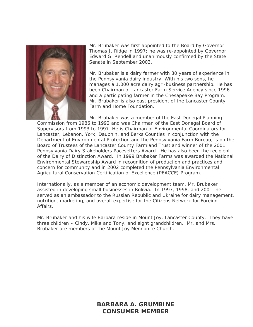

Mr. Brubaker was first appointed to the Board by Governor Thomas J. Ridge in 1997; he was re-appointed by Governor Edward G. Rendell and unanimously confirmed by the State Senate in September 2003.

Mr. Brubaker is a dairy farmer with 30 years of experience in the Pennsylvania dairy industry. With his two sons, he manages a 1,000 acre dairy agri-business partnership. He has been Chairman of Lancaster Farm Service Agency since 1996 and a participating farmer in the Chesapeake Bay Program. Mr. Brubaker is also past president of the Lancaster County Farm and Home Foundation.

Mr. Brubaker was a member of the East Donegal Planning

Commission from 1986 to 1992 and was Chairman of the East Donegal Board of Supervisors from 1993 to 1997. He is Chairman of Environmental Coordinators for Lancaster, Lebanon, York, Dauphin, and Berks Counties in conjunction with the Department of Environmental Protection and the Pennsylvania Farm Bureau, is on the Board of Trustees of the Lancaster County Farmland Trust and winner of the 2001 Pennsylvania Dairy Stakeholders Pacesetters Award. He has also been the recipient of the Dairy of Distinction Award. In 1999 Brubaker Farms was awarded the National Environmental Stewardship Award in recognition of production and practices and concern for community and in 2002 completed the Pennsylvania Environmental Agricultural Conservation Certification of Excellence (PEACCE) Program.

Internationally, as a member of an economic development team, Mr. Brubaker assisted in developing small businesses in Bolivia. In 1997, 1998, and 2001, he served as an ambassador to the Russian Republic and Ukraine for dairy management, nutrition, marketing, and overall expertise for the Citizens Network for Foreign Affairs.

Mr. Brubaker and his wife Barbara reside in Mount Joy, Lancaster County. They have three children – Cindy, Mike and Tony, and eight grandchildren. Mr. and Mrs. Brubaker are members of the Mount Joy Mennonite Church.

> **BARBARA A. GRUMBINE CONSUMER MEMBER**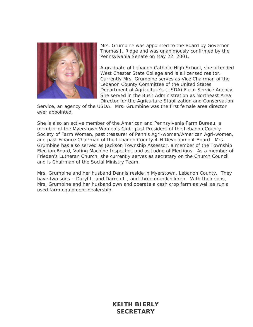

Mrs. Grumbine was appointed to the Board by Governor Thomas J. Ridge and was unanimously confirmed by the Pennsylvania Senate on May 22, 2001.

A graduate of Lebanon Catholic High School, she attended West Chester State College and is a licensed realtor. Currently Mrs. Grumbine serves as Vice Chairman of the Lebanon County Committee of the United States Department of Agriculture's (USDA) Farm Service A gency. She served in the Bush Administration as Northeast Area Director for the Agriculture Stabilization and Conservatio n

Service, an agency of the USDA. Mrs. Grumbine was the first female area director ever appointed.

She is also an active member of the American and Pennsylvania Farm Bureau, a member of the Myerstown Women's Club, past President of the Lebanon County Society of Farm Women, past treasurer of Penn's Agri-women/American Agri-women, and past Finance Chairman of the Lebanon County 4-H Development Board. Mrs. Grumbine has also served as Jackson Township Assessor, a member of the Township Election Board, Voting Machine Inspector, and as Judge of Elections. As a member of Frieden's Lutheran Church, she currently serves as secretary on the Church Council and is Chairman of the Social Ministry Team.

Mrs. Grumbine and her husband Dennis reside in Myerstown, Lebanon County. They have two sons - Daryl L. and Darren L., and three grandchildren. With their sons, Mrs. Grumbine and her husband own and operate a cash crop farm as well as run a used farm equipment dealership.

> **KEITH BIERLY SECRETARY**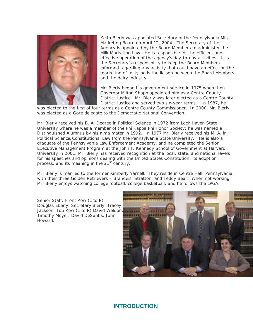

marketing of milk; he is the liaison between the Board Members Keith Bierly was appointed Secretary of the Pennsylvania Milk Marketing Board on April 12, 2004. The Secretary of the Agency is appointed by the Board Members to administer the Milk Marketing Law. He is responsible for the efficient and effective operation of the agency's day-to-day activities. It is the Secretary's responsibility to keep the Board Members informed regarding any activity that could have an effect on the and the dairy industry.

Mr. Bierly began his government service in 1975 when then Governor Milton Shapp appointed him as a Centre County District Justice. Mr. Bierly was later elected as a Centre County District Justice and served two six-year terms. In 1987, he

was elected to the first of four terms as a Centre County Commissioner. In 2000, Mr. Bierly was elected as a Gore delegate to the Democratic National Convention.

Mr. Bierly received his B. A. Degree in Political Science in 1972 from Lock Haven State University where he was a member of the Phi Kappa Phi Honor Society; he was named a Executive Management Program at the John F. Kennedy School of Government at Harvard University in 2001. Mr. Bierly has received recognition at the local, state, and national levels Distinguished Alumnus by his alma mater in 1992. In 1977 Mr. Bierly received his M. A. in Political Science/Constitutional Law from the Pennsylvania State University. He is also a graduate of the Pennsylvania Law Enforcement Academy, and he completed the Senior for his speeches and opinions dealing with the United States Constitution, its adoption process, and its meaning in the 21<sup>st</sup> century.

Mr. Bierly is married to the former Kimberly Yarnell. They reside in Centre Hall, Pennsylvania, with their three Golden Retrievers – Brandeis, Stratton, and Teddy Bear. When not working, Mr. Bierly enjoys watching college football, college basketball, and he follows the LPGA.

*enior Staff: Front Row (L to R) S Tracey Douglas Eberly, Secretary Bierly, Jackson. Top Row (L to R) David Weldon, Timothy Moyer, David DeSantis, John Howard.* 



## **INTRODUCTION**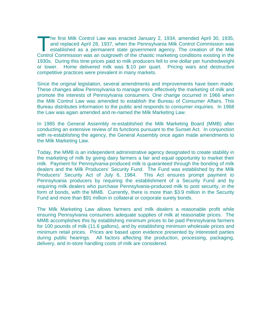he first Milk Control Law was enacted January 2, 1934, amended April 30, 1935, and replaced April 28, 1937, when the Pennsylvania Milk Control Commission was established as a permanent state government agency. The creation of the Milk The first Milk Control Law was enacted January 2, 1934, amended April 30, 1935, and replaced April 28, 1937, when the Pennsylvania Milk Control Commission was established as a permanent state government agency. The creatio 1930s. During this time prices paid to milk producers fell to one dollar per hundredweight or lower. Home delivered milk was \$.10 per quart. Pricing wars and destructive competitive practices were prevalent in many markets.

Since the original legislation, several amendments and improvements have been made. These changes allow Pennsylvania to manage more effectively the marketing of milk and promote the interests of Pennsylvania consumers. One change occurred in 1966 when the Milk Control Law was amended to establish the Bureau of Consumer Affairs. This Bureau distributes information to the public and responds to consumer inquiries. In 1968 the Law was again amended and re-named the Milk Marketing Law.

In 1985 the General Assembly re-established the Milk Marketing Board (MMB) after conducting an extensive review of its functions pursuant to the Sunset Act. In conjunction with re-establishing the agency, the General Assembly once again made amendments to the Milk Marketing Law.

Today, the MMB is an independent administrative agency designated to create stability in the marketing of milk by giving dairy farmers a fair and equal opportunity to market their milk. Payment for Pennsylvania-produced milk is guaranteed through the bonding of milk dealers and the Milk Producers' Security Fund. The Fund was established by the Milk Producers' Security Act of July 6, 1984. This Act ensures prompt payment to Pennsylvania producers by requiring the establishment of a Security Fund and by requiring milk dealers who purchase Pennsylvania-produced milk to post security, in the form of bonds, with the MMB. Currently, there is more than \$3.9 million in the Security Fund and more than \$91 million in collateral or corporate surety bonds.

The Milk Marketing Law allows farmers and milk dealers a reasonable profit while ensuring Pennsylvania consumers adequate supplies of milk at reasonable prices. The MMB accomplishes this by establishing minimum prices to be paid Pennsylvania farmers for 100 pounds of milk (11.6 gallons), and by establishing minimum wholesale prices and minimum retail prices. Prices are based upon evidence presented by interested parties during public hearings. All factors affecting the production, processing, packaging, delivery, and in-store handling costs of milk are considered.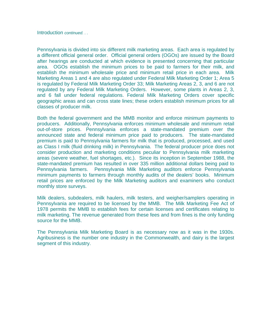Introduction *continued. . .* 

Pennsylvania is divided into six different milk marketing areas. Each area is regulated by a different official general order. Official general orders (OGOs) are issued by the Board after hearings are conducted at which evidence is presented concerning that particular area. OGOs establish the minimum prices to be paid to farmers for their milk, and establish the minimum wholesale price and minimum retail price in each area. Milk Marketing Areas 1 and 4 are also regulated under Federal Milk Marketing Order 1; Area 5 is regulated by Federal Milk Marketing Order 33; Milk Marketing Areas 2, 3, and 6 are not regulated by any Federal Milk Marketing Orders. However, some plants in Areas 2, 3, and 6 fall under federal regulations. Federal Milk Marketing Orders cover specific geographic areas and can cross state lines; these orders establish minimum prices for all classes of producer milk.

Both the federal government and the MMB monitor and enforce minimum payments to producers. Additionally, Pennsylvania enforces minimum wholesale and minimum retail out-of-store prices. Pennsylvania enforces a state-mandated premium over the announced state and federal minimum price paid to producers. The state-mandated premium is paid to Pennsylvania farmers for milk that is produced, processed, and used as Class I milk (fluid drinking milk) in Pennsylvania. The federal producer price does not consider production and marketing conditions peculiar to Pennsylvania milk marketing areas (severe weather, fuel shortages, etc.). Since its inception in September 1988, the state-mandated premium has resulted in over 335 million additional dollars being paid to Pennsylvania farmers. Pennsylvania Milk Marketing auditors enforce Pennsylvania minimum payments to farmers through monthly audits of the dealers' books. Minimum retail prices are enforced by the Milk Marketing auditors and examiners who conduct monthly store surveys.

Milk dealers, subdealers, milk haulers, milk testers, and weigher/samplers operating in Pennsylvania are required to be licensed by the MMB. The Milk Marketing Fee Act of 1978 permits the MMB to establish fees for certain licenses and certificates relating to milk marketing. The revenue generated from these fees and from fines is the only funding source for the MMB.

The Pennsylvania Milk Marketing Board is as necessary now as it was in the 1930s. Agribusiness is the number one industry in the Commonwealth, and dairy is the largest segment of this industry.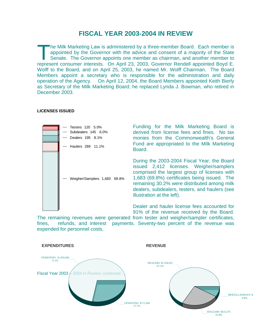# **FISCAL YEAR 2003-2004 IN REVIEW**

he Milk Marketing Law is administered by a three-member Board. Each member is appointed by the Governor with the advice and consent of a majority of the State Senate. The Governor appoints one member as chairman, and another member to The Milk Marketing Law is administered by a three-member Board. Each member is appointed by the Governor with the advice and consent of a majority of the State Senate. The Governor appoints one member as chairman, and anot Wolff to the Board, and on April 25, 2003, he named Mr. Wolff Chairman. The Board Members appoint a secretary who is responsible for the administration and daily operation of the Agency. On April 12, 2004, the Board Members appointed Keith Bierly as Secretary of the Milk Marketing Board; he replaced Lynda J. Bowman, who retired in December 2003.

#### **LICENSES ISSUED**



The remaining revenues were generated from tester and weigher/sampler certificates, fines, refunds, and interest payments. Seventy-two percent of the revenue was expended for personnel costs.

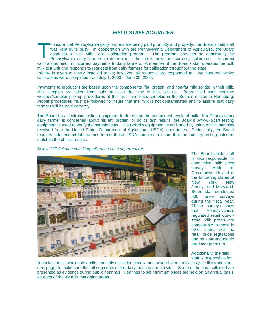## *FIELD STAFF ACTIVITIES*

o insure that Pennsylvania dairy farmers are being paid promptly and properly, the Board's field staff was kept quite busy. In cooperation with the Pennsylvania Department of Agriculture, the Board conducts a Bulk Milk Tank Calibration program. The program provides an opportunity for Pennsylvania dairy farmers to determine if their bulk tanks are correctly calibrated. Incorrect calibrations result in incorrect payments to dairy farmers. A member of the Board's staff operates the bulk milk test unit and responds to requests from dairy farmers for calibration throughout the state. T Priority is given to newly installed tanks; however, all requests are responded to. Two hundred twelve calibrations were completed from July 1, 2003 – June 30, 2004.

Payments to producers are based upon the components (fat, protein, and non-fat milk solids) in their milk. Milk samples are taken from bulk tanks at the time of milk pick-up. Board field staff monitors weigher/sampler pick-up procedures at the farm, and tests samples in the Board's offices in Harrisburg. Proper procedures must be followed to insure that the milk is not contaminated and to assure that dairy farmers will be paid correctly.

The Board has electronic testing equipment to determine the component levels of milk. If a Pennsylvania dairy farmer is concerned about his fat, protein, or solids test results, the Board's *Milk-O-Scan* testing equipment is used to verify the sample tests. The Board's equipment is calibrated by using official samples received from the United States Department of Agriculture (USDA) laboratories. Periodically, the Board requires independent laboratories to test these USDA samples to insure that the industry testing outcome matches the official results.



*Below Cliff Ackman checking milk prices at a supermarket* 

The Board's field staff is also responsible for conducting milk price surveys within the Commonwealth and in the bordering states of New York, New Jersey, and Maryland. Board staff conducted 508 price surveys during the fiscal year. These surveys show that Pennsylvania's regulated retail out-ofstore milk prices are comparable to those in other states with no retail price regulations and no state-mandated producer premium.

Additionally, the field staff is responsible for

financial audits, wholesale audits, monthly utilization review, and several other activities (see illustration on next page) to make sure that all segments of the dairy industry remain vital. Some of the data collected are presented as evidence during public hearings. Hearings to set minimum prices are held on an annual basis for each of the six milk marketing areas.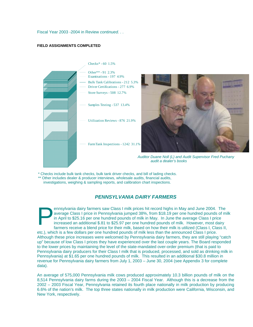Fiscal Year 2003 -2004 in Review *continued. . .* 

#### **FIELD ASSIGNMENTS COMPLETED**





*Auditor Duane Noll (L) and Audit Supervisor Fred Puchany audit a dealer's books* 

\* Checks include bulk tank checks, bulk tank driver checks, and bill of lading checks. \*\* Other includes dealer & producer interviews, wholesale audits, financial audits,

investigations, weighing & sampling reports, and calibration chart inspections.

## *PENNSYLVANIA DAIRY FARMERS*

ennsylvania dairy farmers saw Class I milk prices hit record highs in May and June 2004. The average Class I price in Pennsylvania jumped 38%, from \$18.19 per one hundred pounds of milk in April to \$25.16 per one hundred pounds of milk in May. In June the average Class I price increased an additional \$.81 to \$25.97 per one hundred pounds of milk. However, most dairy farmers receive a blend price for their milk, based on how their milk is utilized (Class I, Class II, etc.), which is a few dollars per one hundred pounds of milk less than the announced Class I price. Although these price increases were welcomed by Pennsylvania dairy farmers, they are still playing "catch up" because of low Class I prices they have experienced over the last couple years. The Board responded to the lower prices by maintaining the level of the state-mandated over-order premium (that is paid to Pennsylvania dairy producers for their Class I milk that is produced, processed, and sold as drinking milk in Pennsylvania) at \$1.65 per one hundred pounds of milk. This resulted in an additional \$30.8 million in revenue for Pennsylvania dairy farmers from July 1, 2003 – June 30, 2004 (see Appendix 3 for complete data). P

An average of 575,000 Pennsylvania milk cows produced approximately 10.3 billion pounds of milk on the 8,514 Pennsylvania dairy farms during the 2003 – 2004 Fiscal Year. Although this is a decrease from the 2002 – 2003 Fiscal Year, Pennsylvania retained its fourth place nationally in milk production by producing 6.6% of the nation's milk. The top three states nationally in milk production were California, Wisconsin, and New York, respectively.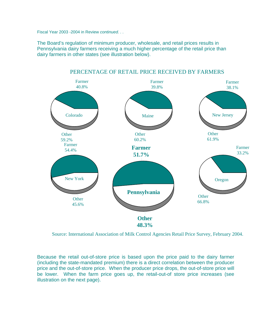Fiscal Year 2003 -2004 in Review *continued. . .* 

The Board's regulation of minimum producer, wholesale, and retail prices results in Pennsylvania dairy farmers receiving a much higher percentage of the retail price than dairy farmers in other states (see illustration below).



## PERCENTAGE OF RETAIL PRICE RECEIVED BY FARMERS

Source: International Association of Milk Control Agencies Retail Price Survey, February 2004.

Because the retail out-of-store price is based upon the price paid to the dairy farmer (including the state-mandated premium) there is a direct correlation between the producer price and the out-of-store price. When the producer price drops, the out-of-store price will be lower. When the farm price goes up, the retail-out-of store price increases (see illustration on the next page).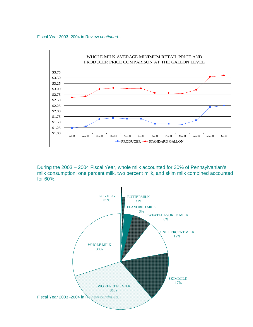Fiscal Year 2003 -2004 in Review *continued. . .* 



During the 2003 – 2004 Fiscal Year, whole milk accounted for 30% of Pennsylvanian's milk consumption; one percent milk, two percent milk, and skim milk combined accounted for 60%.

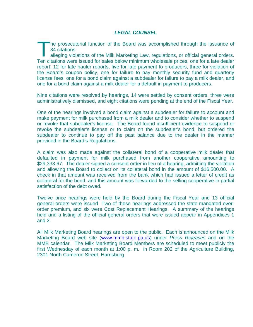## *LEGAL COUNSEL*

he prosecutorial function of the Board was accomplished through the issuance of 34 citations

alle ging violations of the Milk Marketing Law, regulations, or official general orders. Ten citat ions were issued for sales below minimum wholesale prices, one for a late dealer report, 12 for late hauler reports, five for late payment to producers, three for violation of the Board's coupon policy, one for failure to pay monthly security fund and quarterly license fees, one for a bond claim against a subdealer for failure to pay a milk dealer, and one for a bond claim against a milk dealer for a default in payment to producers.  $\frac{1}{\sqrt{1.34}}$ 

Nine citations were resolved by hearings, 14 were settled by consent orders, three were administratively dismissed, and eight citations were pending at the end of the Fiscal Year.

One of the hearings involved a bond claim against a subdealer for failure to account and make payment for milk purchased from a milk dealer and to consider whether to suspend or revoke that subdealer's license. The Board found insufficient evidence to suspend or revoke the subdealer's license or to claim on the subdealer's bond, but ordered the subdealer to continue to pay off the past balance due to the dealer in the manner provided in the Board's Regulations.

A claim was also made against the collateral bond of a cooperative milk dealer that defaulted in payment for milk purchased from another cooperative amounting to \$29,333.67. The dealer signed a consent order in lieu of a hearing, admitting the violation and allowing the Board to collect on its collateral bond in the amount of \$16,500.00. A check in that amount was received from the bank which had issued a letter of credit as collateral for the bond, and this amount was forwarded to the selling cooperative in partial satisfaction of the debt owed.

Twelve price hearings were held by the Board during the Fiscal Year and 13 official general orders were issued Two of these hearings addressed the state-mandated overorder premium, and six were Cost Replacement Hearings. A summary of the hearings held and a listing of the official general orders that were issued appear in Appendices 1 and 2.

All Milk Marketing Board hearings are open to the public. Each is announced on the Milk Marketing Board web site [\(www.mmb.state.pa.us](http://www.mmb.state.pa.us/)) under *Press Releases* and on the MMB calendar*.* The Milk Marketing Board Members are scheduled to meet publicly the first Wednesday of each month at 1:00 p. m. in Room 202 of the Agriculture Building, 2301 North Cameron Street, Harrisburg.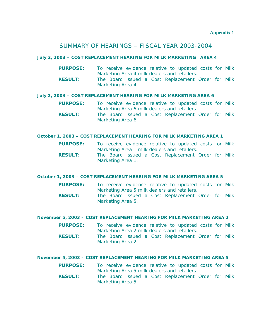## SUMMARY OF HEARINGS – FISCAL YEAR 2003-2004

## **July 2, 2003 – COST REPLACEMENT HEARING FOR MILK MARKETING AREA 4**

| <b>PURPOSE:</b> |                   |  |  | To receive evidence relative to updated costs for Milk |  |  |
|-----------------|-------------------|--|--|--------------------------------------------------------|--|--|
|                 |                   |  |  | Marketing Area 4 milk dealers and retailers.           |  |  |
| <b>RESULT:</b>  |                   |  |  | The Board issued a Cost Replacement Order for Milk     |  |  |
|                 | Marketing Area 4. |  |  |                                                        |  |  |

## **July 2, 2003 – COST REPLACEMENT HEARING FOR MILK MARKETING AREA 6**

- **PURPOSE:** To receive evidence relative to updated costs for Milk Marketing Area 6 milk dealers and retailers.
- **RESULT:** The Board issued a Cost Replacement Order for Milk Marketing Area 6.

## **October 1, 2003 – COST REPLACEMENT HEARING FOR MILK MARKETING AREA 1**

- **PURPOSE:** To receive evidence relative to updated costs for Milk Marketing Area 1 milk dealers and retailers.
- **RESULT:** The Board issued a Cost Replacement Order for Milk Marketing Area 1.

## **October 1, 2003 – COST REPLACEMENT HEARING FOR MILK MARKETING AREA 5**

- **PURPOSE:** To receive evidence relative to updated costs for Milk Marketing Area 5 milk dealers and retailers.
- **RESULT:** The Board issued a Cost Replacement Order for Milk Marketing Area 5.

## **November 5, 2003 – COST REPLACEMENT HEARING FOR MILK MARKETING AREA 2**

- **PURPOSE:** To receive evidence relative to updated costs for Milk Marketing Area 2 milk dealers and retailers.
- **RESULT:** The Board issued a Cost Replacement Order for Milk Marketing Area 2.

## **November 5, 2003 – COST REPLACEMENT HEARING FOR MILK MARKETING AREA 5**

- **PURPOSE:** To receive evidence relative to updated costs for Milk Marketing Area 5 milk dealers and retailers.
- **RESULT:** The Board issued a Cost Replacement Order for Milk Marketing Area 5.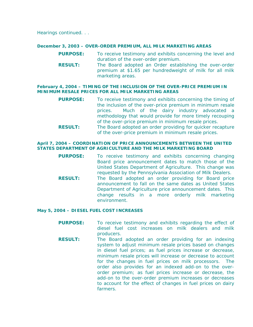Hearings *continued. . .* 

#### **December 3, 2003 – OVER-ORDER PREMIUM, ALL MILK MARKETING AREAS**

- **PURPOSE:** To receive testimony and exhibits concerning the level and duration of the over-order premium.
- **RESULT:** The Board adopted an Order establishing the over-order premium at \$1.65 per hundredweight of milk for all milk marketing areas.

#### **February 4, 2004 – TIMING OF THE INCLUSION OF THE OVER-PRICE PREMIUM IN MINIMUM RESALE PRICES FOR ALL MILK MARKETING AREAS**

- **PURPOSE:** To receive testimony and exhibits concerning the timing of the inclusion of the over-price premium in minimum resale prices. Much of the dairy industry advocated a methodology that would provide for more timely recouping of the over-price premium in minimum resale prices.
- **RESULT:** The Board adopted an order providing for quicker recapture of the over-price premium in minimum resale prices.

#### **April 7, 2004 – COORDINATION OF PRICE ANNOUNCEMENTS BETWEEN THE UNITED STATES DEPARTMENT OF AGRICULTURE AND THE MILK MARKETING BOARD**

 **PURPOSE:** To receive testimony and exhibits concerning changing Board price announcement dates to match those of the United States Department of Agriculture. This change was requested by the Pennsylvania Association of Milk Dealers. **RESULT:** The Board adopted an order providing for Board price announcement to fall on the same dates as United States Department of Agriculture price announcement dates. This change results in a more orderly milk marketing environment.

#### **May 5, 2004 – DIESEL FUEL COST INCREASES**

- **PURPOSE:** To receive testimony and exhibits regarding the effect of diesel fuel cost increases on milk dealers and milk producers.
- **RESULT:** The Board adopted an order providing for an indexing system to adjust minimum resale prices based on changes in diesel fuel prices; as fuel prices increase or decrease, minimum resale prices will increase or decrease to account for the changes in fuel prices on milk processors. The order also provides for an indexed add-on to the overorder premium; as fuel prices increase or decrease, the add-on to the over-order premium increases or decreases to account for the effect of changes in fuel prices on dairy farmers.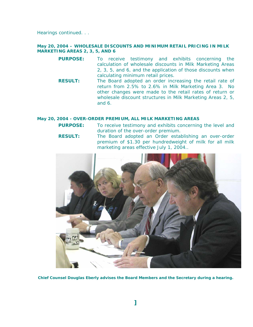Hearings *continued. . .* 

## **May 20, 2004 – WHOLESALE DISCOUNTS AND MINIMUM RETAIL PRICING IN MILK MARKETING AREAS 2, 3, 5, AND 6**

- **PURPOSE:** To receive testimony and exhibits concerning the calculation of wholesale discounts in Milk Marketing Areas 2, 3, 5, and 6, and the application of those discounts when calculating minimum retail prices.
- **RESULT:** The Board adopted an order increasing the retail rate of return from 2.5% to 2.6% in Milk Marketing Area 3. No other changes were made to the retail rates of return or wholesale discount structures in Milk Marketing Areas 2, 5, and 6.

## **May 20, 2004 - OVER-ORDER PREMIUM, ALL MILK MARKETING AREAS**

**PURPOSE:** To receive testimony and exhibits concerning the level and duration of the over-order premium.

**RESULT:** The Board adopted an Order establishing an over-order premium of \$1.30 per hundredweight of milk for all milk marketing areas effective July 1, 2004..



**Chief Counsel Douglas Eberly advises the Board Members and the Secretary during a hearing***.*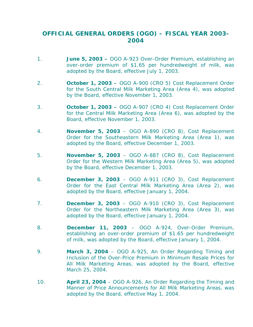# **OFFICIAL GENERAL ORDERS (OGO) – FISCAL YEAR 2003- 2004**

- 1. **June 5, 2003** OGO A-923 Over-Order Premium, establishing an over-order premium of \$1.65 per hundredweight of milk, was adopted by the Board, effective July 1, 2003.
- 2. **October 1, 2003** OGO A-900 (CRO 5) Cost Replacement Order for the South Central Milk Marketing Area (Area 4), was adopted by the Board, effective November 1, 2003.
- 3. **October 1, 2003 –** OGO A-907 (CRO 4) Cost Replacement Order for the Central Milk Marketing Area (Area 6), was adopted by the Board, effective November 1, 2003.
- 4. **November 5, 2003** OGO A-890 (CRO 8), Cost Replacement Order for the Southeastern Milk Marketing Area (Area 1), was adopted by the Board, effective December 1, 2003.
- 5. **November 5, 2003**  OGO A-887 (CRO 8), Cost Replacement Order for the Western Milk Marketing Area (Area 5), was adopted by the Board, effective December 1, 2003.
- 6. **December 3, 2003** OGO A-911 (CRO 3), Cost Replacement Order for the East Central Milk Marketing Area (Area 2), was adopted by the Board, effective January 1, 2004.
- 7. **December 3, 2003**  OGO A-910 (CRO 3), Cost Replacement Order for the Northeastern Milk Marketing Area (Area 3), was adopted by the Board, effective January 1, 2004.
- 8. **December 11, 2003**  OGO A-924, Over-Order Premium, establishing an over-order premium of \$1.65 per hundredweight of milk, was adopted by the Board, effective January 1, 2004.
- 9. **March 3, 2004**  OGO A-925, An Order Regarding Timing and Inclusion of the Over-Price Premium in Minimum Resale Prices for All Milk Marketing Areas, was adopted by the Board, effective March 25, 2004.
- 10. **April 23, 2004**  OGO A-926, An Order Regarding the Timing and Manner of Price Announcements for All Milk Marketing Areas, was adopted by the Board, effective May 1, 2004.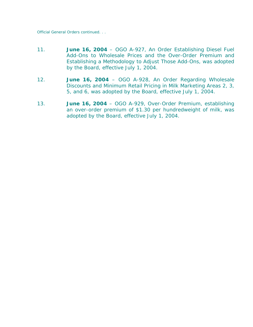Official General Orders *continued. . .* 

- 11. **June 16, 2004**  OGO A-927, An Order Establishing Diesel Fuel Add-Ons to Wholesale Prices and the Over-Order Premium and Establishing a Methodology to Adjust Those Add-Ons, was adopted by the Board, effective July 1, 2004.
- 12. **June 16, 2004** OGO A-928, An Order Regarding Wholesale Discounts and Minimum Retail Pricing in Milk Marketing Areas 2, 3, 5, and 6, was adopted by the Board, effective July 1, 2004.
- 13. **June 16, 2004** OGO A-929, Over-Order Premium, establishing an over-order premium of \$1.30 per hundredweight of milk, was adopted by the Board, effective July 1, 2004.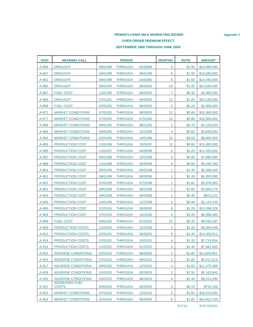## **PENNSYLVANIA MILK MARKETING BOARD** *Appendix 3* **OVER-ORDER PREMIUM EFFECT SEPTEMBER 1988 THROUGH JUNE 2004**

| <b>OGO</b> | <b>HEARING CALL</b>                   |          | <b>PERIOD</b>  |          | <b>MONTHS</b>  | <b>RATE</b> | <b>AMOUNT</b> |
|------------|---------------------------------------|----------|----------------|----------|----------------|-------------|---------------|
| A-856      | <b>DROUGHT</b>                        | 09/01/88 | <b>THROUGH</b> | 02/28/89 | 6              | \$1.05      | \$10,080,000  |
| A-857      | <b>DROUGHT</b>                        | 03/01/89 | <b>THROUGH</b> | 08/31/89 | 6              | \$1.05      | \$10,080,000  |
| A-861      | <b>DROUGHT</b>                        | 09/01/89 | <b>THROUGH</b> | 04/30/90 | 8              | \$1.05      | \$13,440,000  |
| A-865      | <b>DROUGHT</b>                        | 05/01/90 | <b>THROUGH</b> | 06/30/91 | 14             | \$1.05      | \$23,520,000  |
| A-867      | <b>FUEL COST</b>                      | 12/01/90 | <b>THROUGH</b> | 06/30/91 | 7              | \$0.30      | \$3,360,000   |
| A-868      | <b>DROUGHT</b>                        | 07/01/91 | <b>THROUGH</b> | 06/30/92 | 12             | \$1.05      | \$20,160,000  |
| A-869      | <b>FUEL COST</b>                      | 02/01/92 | <b>THROUGH</b> | 06/30/92 | 5              | \$0.25      | \$2,000,000   |
| A-872      | <b>MARKET CONDITIONS</b>              | 07/01/92 | <b>THROUGH</b> | 06/30/93 | 12             | \$0.80      | \$15,360,000  |
| A-877      | <b>MARKET CONDITIONS</b>              | 07/01/93 | <b>THROUGH</b> | 07/31/95 | 25             | \$0.80      | \$32,000,000  |
| A-889      | <b>MARKET CONDITIONS</b>              | 08/01/95 | <b>THROUGH</b> | 08/31/95 | 1              | \$0.70      | \$1,120,000   |
| A-889      | <b>MARKET CONDITIONS</b>              | 09/01/95 | <b>THROUGH</b> | 12/31/95 | 4              | \$0.60      | \$3,840,000   |
| A-892      | <b>MARKET CONDITIONS</b>              | 01/01/96 | <b>THROUGH</b> | 10/31/96 | 10             | \$0.50      | \$8,000,000   |
| A-893      | <b>PRODUCTION COST</b>                | 11/01/96 | <b>THROUGH</b> | 10/31/97 | 12             | \$0.80      | \$15,360,000  |
| A-895      | <b>PRODUCTION COST</b>                | 11/01/97 | <b>THROUGH</b> | 04/30/98 | 6              | \$1.20      | \$11,520,000  |
| A-897      | <b>PRODUCTION COST</b>                | 05/01/98 | <b>THROUGH</b> | 10/31/98 | 6              | \$0.80      | \$7,680,000   |
| A-898      | <b>PRODUCTION COST</b>                | 11/01/98 | <b>THROUGH</b> | 04/30/99 | 6              | \$0.50      | \$5,446,760   |
| $A-901$    | <b>PRODUCTION COST</b>                | 05/01/99 | <b>THROUGH</b> | 05/31/99 | 1              | \$1.45      | \$2,408,440   |
| $A-901$    | <b>PRODUCTION COST</b>                | 06/01/99 | <b>THROUGH</b> | 06/30/99 | 1.             | \$1.26      | \$1,950,895   |
| A-901      | <b>PRODUCTION COST</b>                | 07/01/99 | <b>THROUGH</b> | 07/31/99 | 1              | \$1.81      | \$2,978,083   |
| A-901      | <b>PRODUCTION COST</b>                | 08/01/99 | <b>THROUGH</b> | 08/31/99 | 1              | \$1.65      | \$2,693,176   |
| A-904      | <b>PRODUCTION COST</b>                | 09/01/99 | <b>THROUGH</b> | 09/30/99 | 1              | \$0.40      | \$674,101     |
| A-905      | <b>PRODUCTION COST</b>                | 10/01/99 | <b>THROUGH</b> | 12/31/99 | 3              | \$0.40      | \$2,123,243   |
| A-906      | <b>PRODUCTION COST</b>                | 01/01/00 | <b>THROUGH</b> | 06/30/00 | 6              | \$1.20      | \$12,496,328  |
| A-909      | <b>PRODUCTION COST</b>                | 07/01/00 | <b>THROUGH</b> | 10/31/00 | 4              | \$1.00      | \$6,998,585   |
| A-908      | <b>FUEL COST</b>                      | 04/01/00 | <b>THROUGH</b> | 01/31/02 | 22             | \$0.25      | \$9,593,287   |
| A-909      | <b>PRODUCTION COSTS</b>               | 11/01/00 | <b>THROUGH</b> | 12/31/00 | $\overline{2}$ | \$1.20      | \$4,359,048   |
| A-912      | <b>PRODUCTION COSTS</b>               | 01/01/01 | <b>THROUGH</b> | 06/30/01 | 6              | \$1.40      | \$14,320,611  |
| A-914      | <b>PRODUCTION COSTS</b>               | 07/01/01 | <b>THROUGH</b> | 10/31/01 | 4              | \$1.10      | \$7,714,654   |
| A-914      | <b>PRODUCTION COSTS</b>               | 11/01/01 | <b>THROUGH</b> | 01/31/02 | 3              | \$1.40      | \$7,581,603   |
| A-915      | <b>ADVERSE CONDITIONS</b>             | 02/01/02 | <b>THROUGH</b> | 06/30/02 | 5              | \$1.65      | \$13,624,951  |
| A-916      | <b>ADVERSE CONDITIONS</b>             | 07/01/02 | <b>THROUGH</b> | 08/31/02 | $\overline{2}$ | \$1.65      | \$5,412,514   |
| A-917      | ADVERSE CONDITIONS                    | 09/01/02 | <b>THROUGH</b> | 12/31/02 | 4              | \$1.65      | \$11,370,389  |
| A-918      | <b>ADVERSE CONDITIONS</b>             | 01/01/03 | <b>THROUGH</b> | 02/28/03 | $\overline{2}$ | \$1.50      | \$5,183,941   |
| A-920      | <b>ADVERSE CONDITIONS</b>             | 03/01/03 | <b>THROUGH</b> | 06/30/03 | 4              | \$1.40      | \$9,313,280   |
| A-922      | <b>INCREASED FUEL</b><br><b>COSTS</b> | 04/01/03 | <b>THROUGH</b> | 06/30/03 | 3              | \$0.15      | \$732,169     |
| $A-923$    | <b>MARKET CONDITIONS</b>              | 07/01/03 | <b>THROUGH</b> | 12/31/03 | 6              | \$1.65      | \$16,019,092  |
| A-924      | <b>MARKET CONDITIONS</b>              | 01/01/04 | <b>THROUGH</b> | 06/30/04 | 6              | \$1.65      | \$14,813,704  |

TOTAL \$335,328,855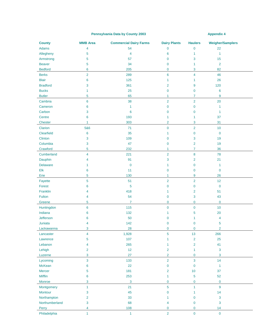#### Pennsylvania Data by County 2003 **Appendix 4** Appendix 4

| <b>County</b>   | <b>MMB</b> Area | <b>Commercial Dairy Farms</b> | <b>Dairy Plants</b> | <b>Haulers</b> | <b>Weigher/Samplers</b> |  |
|-----------------|-----------------|-------------------------------|---------------------|----------------|-------------------------|--|
| Adams           | 4               | 54                            | $\overline{0}$      | $\mathbf 0$    | 22                      |  |
| Allegheny       | 5               | 4                             | 6                   | $\mathbf{1}$   | $\mathbf{1}$            |  |
| Armstrong       | 5               | 57                            | $\mathbf 0$         | 3              | 15                      |  |
| <b>Beaver</b>   | 5               | 34                            | $\mathbf 0$         | 1              | $\overline{2}$          |  |
| <b>Bedford</b>  | 6               | 205                           | $\mathbf 0$         | 3              | 82                      |  |
| <b>Berks</b>    | $\overline{2}$  | 289                           | $6\phantom{a}$      | $\overline{4}$ | 46                      |  |
| <b>Blair</b>    | 6               | 125                           | 1                   | 1              | 26                      |  |
| <b>Bradford</b> | 3               | 361                           | $\overline{2}$      | 9              | 120                     |  |
| <b>Bucks</b>    | 1               | 25                            | 0                   | $\mathbf 0$    | 6                       |  |
| <b>Butler</b>   | 5               | 65                            | $\mathbf{1}$        | $\mathbf{7}$   | 9                       |  |
| Cambria         | $6\phantom{a}$  | 38                            | $\overline{2}$      | $\overline{2}$ | 20                      |  |
| Cameron         | 6               | $\mathbf{1}$                  | $\pmb{0}$           | $\mathbf 0$    | 1                       |  |
| Carbon          | 3               | $6\phantom{1}6$               | 0                   | $\mathbf 0$    | 1                       |  |
| Centre          | 6               | 193                           | 1                   | 1              | 37                      |  |
| <b>Chester</b>  | $\mathbf{1}$    | 303                           | $\overline{2}$      | 3              | 31                      |  |
| Clarion         | 5&6             | 71                            | $\mathbf 0$         | $\overline{2}$ | 10                      |  |
| Clearfield      | 6               | 35                            | 1                   | $\mathbf 0$    | $\mathbf 0$             |  |
| Clinton         | 3               | 109                           | 0                   | 3              | 19                      |  |
| Columbia        | 3               | 47                            | 0                   | 2              | 19                      |  |
| Crawford        | 5               | 232                           | 1                   | $\overline{7}$ | 36                      |  |
| Cumberland      | 4               | 221                           | $\overline{2}$      | 8              | 78                      |  |
| Dauphin         | 4               | 91                            | 3                   | 2              | 21                      |  |
| <b>Delaware</b> | 1               | $\bf{0}$                      | 1                   | $\mathbf 0$    | 1                       |  |
| Elk             | 6               | 11                            | $\mathbf 0$         | $\mathbf{0}$   | $\mathbf 0$             |  |
| Erie            | 5               | 130                           | $\mathbf{1}$        | 9              | 26                      |  |
| Fayette         | 5               | 51                            | $\overline{2}$      | $\overline{2}$ | 12                      |  |
| Forest          | 6               | 5                             | $\mathbf 0$         | $\mathbf 0$    | $\mathbf 0$             |  |
| Franklin        | 4               | 418                           | 1                   | 2              | 51                      |  |
| Fulton          | 4               | 54                            | 0                   | 3              | 43                      |  |
| Greene          | 5               | 7                             | 0                   | $\mathbf 0$    | $\mathbf 0$             |  |
| Huntingdon      | 6               | 115                           | $\overline{0}$      | $\pmb{0}$      | 10                      |  |
| Indiana         | 6               | 132                           | 1                   | 5              | 20                      |  |
| Jefferson       | 6               | 50                            | 0                   | 1              | 4                       |  |
| Juniata         | 4               | 142                           | $\mathbf 0$         | $\mathbf 0$    | 5                       |  |
| Lackawanna      | 3               | 28                            | 0                   | $\mathbf 0$    | $\overline{2}$          |  |
| Lancaster       | 4               | 1,928                         | 5                   | 13             | 266                     |  |
| Lawrence        | 5               | 107                           | 1                   | $\overline{2}$ | 25                      |  |
| Lebanon         | 4               | 265                           | 1                   | $\overline{2}$ | 41                      |  |
| Lehigh          | $\overline{2}$  | 12                            | $\overline{2}$      | $\mathbf{1}$   | $\overline{3}$          |  |
| Luzerne         | 3               | 27                            | $\overline{2}$      | $\mathbf 0$    | $\overline{3}$          |  |
| Lycoming        | 3               | 133                           | $\overline{2}$      | 3              | 14                      |  |
| McKean          | 6               | 22                            | 0                   | $\pmb{0}$      | $\mathbf{1}$            |  |
| Mercer          | 5               | 181                           | $\overline{2}$      | 10             | 37                      |  |
| Mifflin         | 6               | 253                           | 1                   | 5              | 52                      |  |
| Monroe          | 3               | $\mathbf{3}$                  | 0                   | $\mathbf 0$    | $\pmb{0}$               |  |
| Montgomery      | $\mathbf{1}$    | 21                            | 5                   | $\mathbf{1}$   | $\overline{9}$          |  |
| Montour         | 3               | 45                            | $\mathbf 0$         | 1              | 14                      |  |
| Northampton     | 2               | 33                            | 1                   | $\mathbf 0$    | $\mathbf{3}$            |  |
| Northumberland  | 3               | 68                            | 4                   | $\mathbf{0}$   | $\overline{3}$          |  |
| Perry           | 4               | 108                           | 0                   | $\mathbf 0$    | 14                      |  |
| Philadelphia    | $\mathbf{1}$    | $\mathbf{1}$                  | $\overline{2}$      | $\overline{0}$ | $\pmb{0}$               |  |